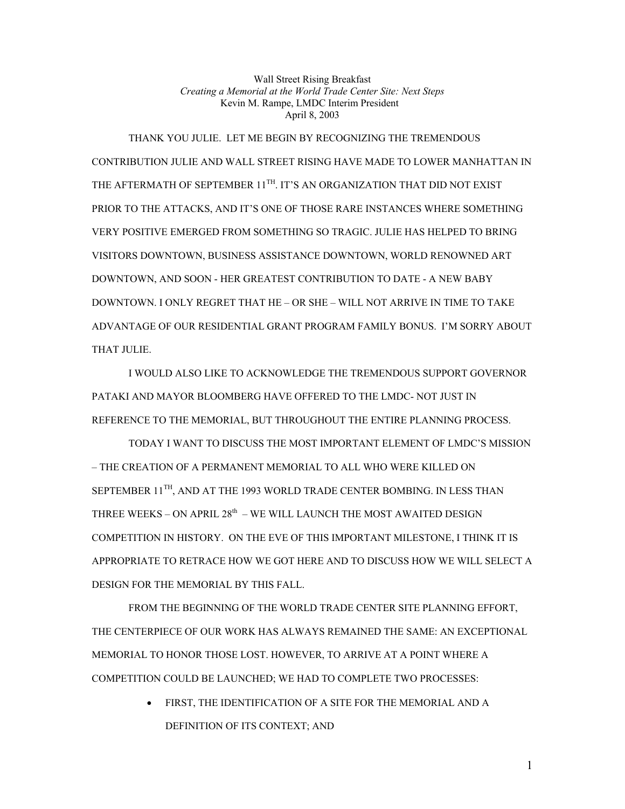## Wall Street Rising Breakfast *Creating a Memorial at the World Trade Center Site: Next Steps*  Kevin M. Rampe, LMDC Interim President April 8, 2003

THANK YOU JULIE. LET ME BEGIN BY RECOGNIZING THE TREMENDOUS CONTRIBUTION JULIE AND WALL STREET RISING HAVE MADE TO LOWER MANHATTAN IN THE AFTERMATH OF SEPTEMBER 11<sup>TH</sup>. IT'S AN ORGANIZATION THAT DID NOT EXIST PRIOR TO THE ATTACKS, AND IT'S ONE OF THOSE RARE INSTANCES WHERE SOMETHING VERY POSITIVE EMERGED FROM SOMETHING SO TRAGIC. JULIE HAS HELPED TO BRING VISITORS DOWNTOWN, BUSINESS ASSISTANCE DOWNTOWN, WORLD RENOWNED ART DOWNTOWN, AND SOON - HER GREATEST CONTRIBUTION TO DATE - A NEW BABY DOWNTOWN. I ONLY REGRET THAT HE – OR SHE – WILL NOT ARRIVE IN TIME TO TAKE ADVANTAGE OF OUR RESIDENTIAL GRANT PROGRAM FAMILY BONUS. I'M SORRY ABOUT THAT JULIE.

I WOULD ALSO LIKE TO ACKNOWLEDGE THE TREMENDOUS SUPPORT GOVERNOR PATAKI AND MAYOR BLOOMBERG HAVE OFFERED TO THE LMDC- NOT JUST IN REFERENCE TO THE MEMORIAL, BUT THROUGHOUT THE ENTIRE PLANNING PROCESS.

TODAY I WANT TO DISCUSS THE MOST IMPORTANT ELEMENT OF LMDC'S MISSION – THE CREATION OF A PERMANENT MEMORIAL TO ALL WHO WERE KILLED ON SEPTEMBER 11TH, AND AT THE 1993 WORLD TRADE CENTER BOMBING. IN LESS THAN THREE WEEKS – ON APRIL  $28<sup>th</sup>$  – WE WILL LAUNCH THE MOST AWAITED DESIGN COMPETITION IN HISTORY. ON THE EVE OF THIS IMPORTANT MILESTONE, I THINK IT IS APPROPRIATE TO RETRACE HOW WE GOT HERE AND TO DISCUSS HOW WE WILL SELECT A DESIGN FOR THE MEMORIAL BY THIS FALL.

FROM THE BEGINNING OF THE WORLD TRADE CENTER SITE PLANNING EFFORT, THE CENTERPIECE OF OUR WORK HAS ALWAYS REMAINED THE SAME: AN EXCEPTIONAL MEMORIAL TO HONOR THOSE LOST. HOWEVER, TO ARRIVE AT A POINT WHERE A COMPETITION COULD BE LAUNCHED; WE HAD TO COMPLETE TWO PROCESSES:

> • FIRST, THE IDENTIFICATION OF A SITE FOR THE MEMORIAL AND A DEFINITION OF ITS CONTEXT; AND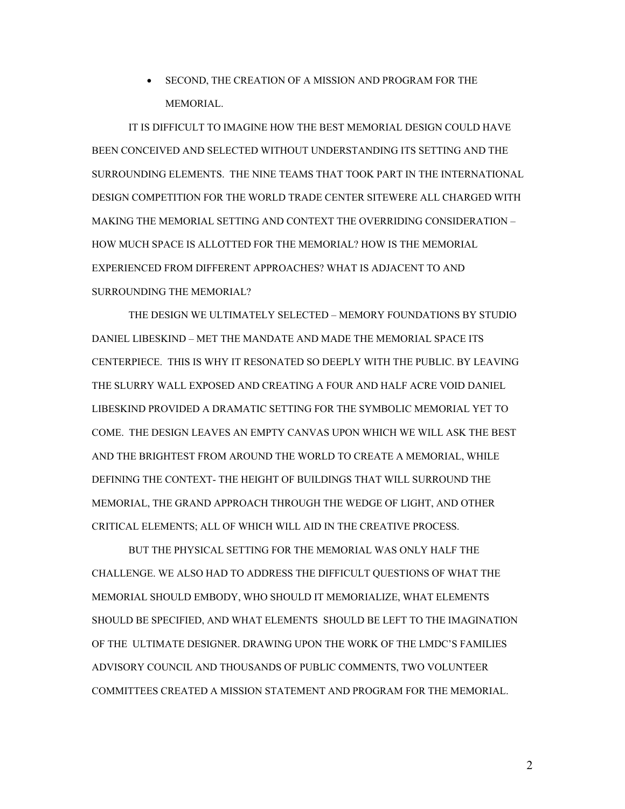• SECOND, THE CREATION OF A MISSION AND PROGRAM FOR THE MEMORIAL.

IT IS DIFFICULT TO IMAGINE HOW THE BEST MEMORIAL DESIGN COULD HAVE BEEN CONCEIVED AND SELECTED WITHOUT UNDERSTANDING ITS SETTING AND THE SURROUNDING ELEMENTS. THE NINE TEAMS THAT TOOK PART IN THE INTERNATIONAL DESIGN COMPETITION FOR THE WORLD TRADE CENTER SITEWERE ALL CHARGED WITH MAKING THE MEMORIAL SETTING AND CONTEXT THE OVERRIDING CONSIDERATION – HOW MUCH SPACE IS ALLOTTED FOR THE MEMORIAL? HOW IS THE MEMORIAL EXPERIENCED FROM DIFFERENT APPROACHES? WHAT IS ADJACENT TO AND SURROUNDING THE MEMORIAL?

THE DESIGN WE ULTIMATELY SELECTED – MEMORY FOUNDATIONS BY STUDIO DANIEL LIBESKIND – MET THE MANDATE AND MADE THE MEMORIAL SPACE ITS CENTERPIECE. THIS IS WHY IT RESONATED SO DEEPLY WITH THE PUBLIC. BY LEAVING THE SLURRY WALL EXPOSED AND CREATING A FOUR AND HALF ACRE VOID DANIEL LIBESKIND PROVIDED A DRAMATIC SETTING FOR THE SYMBOLIC MEMORIAL YET TO COME. THE DESIGN LEAVES AN EMPTY CANVAS UPON WHICH WE WILL ASK THE BEST AND THE BRIGHTEST FROM AROUND THE WORLD TO CREATE A MEMORIAL, WHILE DEFINING THE CONTEXT- THE HEIGHT OF BUILDINGS THAT WILL SURROUND THE MEMORIAL, THE GRAND APPROACH THROUGH THE WEDGE OF LIGHT, AND OTHER CRITICAL ELEMENTS; ALL OF WHICH WILL AID IN THE CREATIVE PROCESS.

BUT THE PHYSICAL SETTING FOR THE MEMORIAL WAS ONLY HALF THE CHALLENGE. WE ALSO HAD TO ADDRESS THE DIFFICULT QUESTIONS OF WHAT THE MEMORIAL SHOULD EMBODY, WHO SHOULD IT MEMORIALIZE, WHAT ELEMENTS SHOULD BE SPECIFIED, AND WHAT ELEMENTS SHOULD BE LEFT TO THE IMAGINATION OF THE ULTIMATE DESIGNER. DRAWING UPON THE WORK OF THE LMDC'S FAMILIES ADVISORY COUNCIL AND THOUSANDS OF PUBLIC COMMENTS, TWO VOLUNTEER COMMITTEES CREATED A MISSION STATEMENT AND PROGRAM FOR THE MEMORIAL.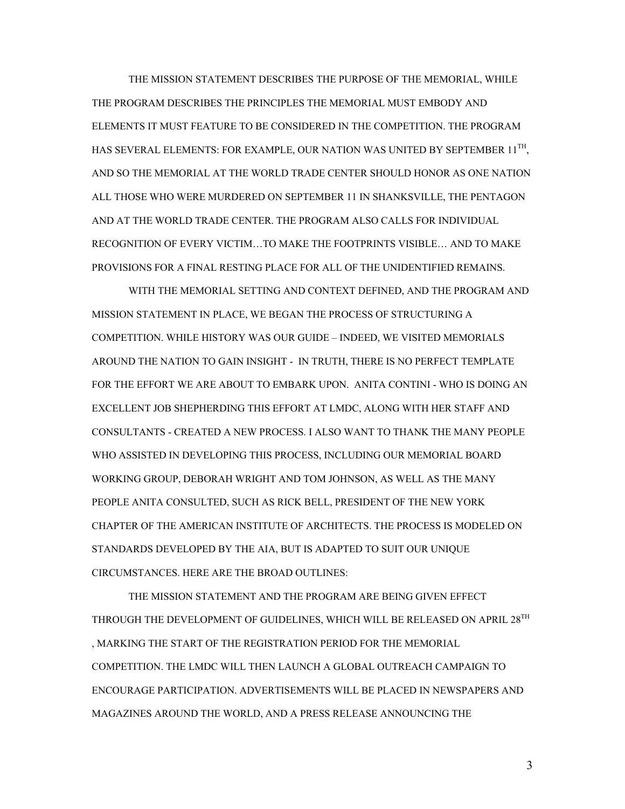THE MISSION STATEMENT DESCRIBES THE PURPOSE OF THE MEMORIAL, WHILE THE PROGRAM DESCRIBES THE PRINCIPLES THE MEMORIAL MUST EMBODY AND ELEMENTS IT MUST FEATURE TO BE CONSIDERED IN THE COMPETITION. THE PROGRAM HAS SEVERAL ELEMENTS: FOR EXAMPLE, OUR NATION WAS UNITED BY SEPTEMBER 11<sup>TH</sup>, AND SO THE MEMORIAL AT THE WORLD TRADE CENTER SHOULD HONOR AS ONE NATION ALL THOSE WHO WERE MURDERED ON SEPTEMBER 11 IN SHANKSVILLE, THE PENTAGON AND AT THE WORLD TRADE CENTER. THE PROGRAM ALSO CALLS FOR INDIVIDUAL RECOGNITION OF EVERY VICTIM…TO MAKE THE FOOTPRINTS VISIBLE… AND TO MAKE PROVISIONS FOR A FINAL RESTING PLACE FOR ALL OF THE UNIDENTIFIED REMAINS.

WITH THE MEMORIAL SETTING AND CONTEXT DEFINED, AND THE PROGRAM AND MISSION STATEMENT IN PLACE, WE BEGAN THE PROCESS OF STRUCTURING A COMPETITION. WHILE HISTORY WAS OUR GUIDE – INDEED, WE VISITED MEMORIALS AROUND THE NATION TO GAIN INSIGHT - IN TRUTH, THERE IS NO PERFECT TEMPLATE FOR THE EFFORT WE ARE ABOUT TO EMBARK UPON. ANITA CONTINI - WHO IS DOING AN EXCELLENT JOB SHEPHERDING THIS EFFORT AT LMDC, ALONG WITH HER STAFF AND CONSULTANTS - CREATED A NEW PROCESS. I ALSO WANT TO THANK THE MANY PEOPLE WHO ASSISTED IN DEVELOPING THIS PROCESS, INCLUDING OUR MEMORIAL BOARD WORKING GROUP, DEBORAH WRIGHT AND TOM JOHNSON, AS WELL AS THE MANY PEOPLE ANITA CONSULTED, SUCH AS RICK BELL, PRESIDENT OF THE NEW YORK CHAPTER OF THE AMERICAN INSTITUTE OF ARCHITECTS. THE PROCESS IS MODELED ON STANDARDS DEVELOPED BY THE AIA, BUT IS ADAPTED TO SUIT OUR UNIQUE CIRCUMSTANCES. HERE ARE THE BROAD OUTLINES:

THE MISSION STATEMENT AND THE PROGRAM ARE BEING GIVEN EFFECT THROUGH THE DEVELOPMENT OF GUIDELINES, WHICH WILL BE RELEASED ON APRIL 28<sup>TH</sup> , MARKING THE START OF THE REGISTRATION PERIOD FOR THE MEMORIAL COMPETITION. THE LMDC WILL THEN LAUNCH A GLOBAL OUTREACH CAMPAIGN TO ENCOURAGE PARTICIPATION. ADVERTISEMENTS WILL BE PLACED IN NEWSPAPERS AND MAGAZINES AROUND THE WORLD, AND A PRESS RELEASE ANNOUNCING THE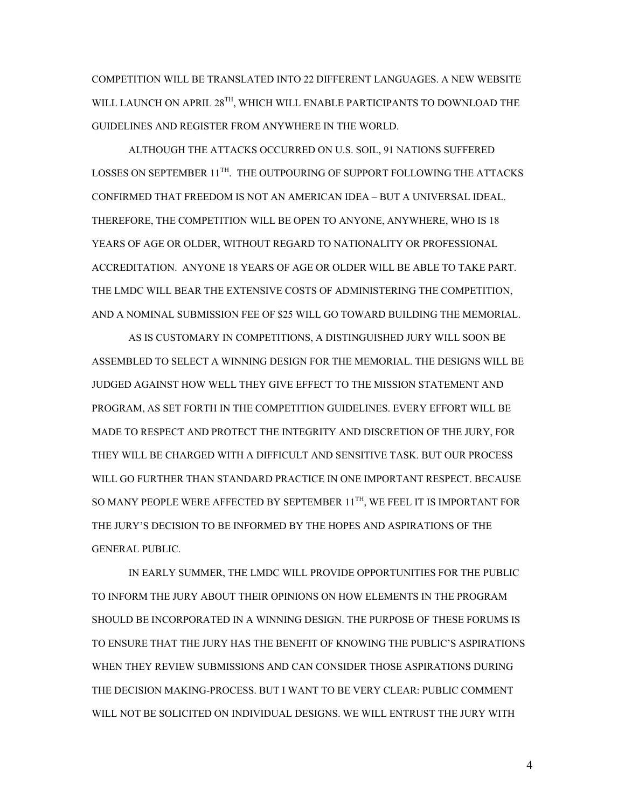COMPETITION WILL BE TRANSLATED INTO 22 DIFFERENT LANGUAGES. A NEW WEBSITE WILL LAUNCH ON APRIL 28<sup>TH</sup>, WHICH WILL ENABLE PARTICIPANTS TO DOWNLOAD THE GUIDELINES AND REGISTER FROM ANYWHERE IN THE WORLD.

ALTHOUGH THE ATTACKS OCCURRED ON U.S. SOIL, 91 NATIONS SUFFERED LOSSES ON SEPTEMBER  $11^{TH}$ . THE OUTPOURING OF SUPPORT FOLLOWING THE ATTACKS CONFIRMED THAT FREEDOM IS NOT AN AMERICAN IDEA – BUT A UNIVERSAL IDEAL. THEREFORE, THE COMPETITION WILL BE OPEN TO ANYONE, ANYWHERE, WHO IS 18 YEARS OF AGE OR OLDER, WITHOUT REGARD TO NATIONALITY OR PROFESSIONAL ACCREDITATION. ANYONE 18 YEARS OF AGE OR OLDER WILL BE ABLE TO TAKE PART. THE LMDC WILL BEAR THE EXTENSIVE COSTS OF ADMINISTERING THE COMPETITION, AND A NOMINAL SUBMISSION FEE OF \$25 WILL GO TOWARD BUILDING THE MEMORIAL.

AS IS CUSTOMARY IN COMPETITIONS, A DISTINGUISHED JURY WILL SOON BE ASSEMBLED TO SELECT A WINNING DESIGN FOR THE MEMORIAL. THE DESIGNS WILL BE JUDGED AGAINST HOW WELL THEY GIVE EFFECT TO THE MISSION STATEMENT AND PROGRAM, AS SET FORTH IN THE COMPETITION GUIDELINES. EVERY EFFORT WILL BE MADE TO RESPECT AND PROTECT THE INTEGRITY AND DISCRETION OF THE JURY, FOR THEY WILL BE CHARGED WITH A DIFFICULT AND SENSITIVE TASK. BUT OUR PROCESS WILL GO FURTHER THAN STANDARD PRACTICE IN ONE IMPORTANT RESPECT. BECAUSE SO MANY PEOPLE WERE AFFECTED BY SEPTEMBER 11<sup>TH</sup>, WE FEEL IT IS IMPORTANT FOR THE JURY'S DECISION TO BE INFORMED BY THE HOPES AND ASPIRATIONS OF THE GENERAL PUBLIC.

IN EARLY SUMMER, THE LMDC WILL PROVIDE OPPORTUNITIES FOR THE PUBLIC TO INFORM THE JURY ABOUT THEIR OPINIONS ON HOW ELEMENTS IN THE PROGRAM SHOULD BE INCORPORATED IN A WINNING DESIGN. THE PURPOSE OF THESE FORUMS IS TO ENSURE THAT THE JURY HAS THE BENEFIT OF KNOWING THE PUBLIC'S ASPIRATIONS WHEN THEY REVIEW SUBMISSIONS AND CAN CONSIDER THOSE ASPIRATIONS DURING THE DECISION MAKING-PROCESS. BUT I WANT TO BE VERY CLEAR: PUBLIC COMMENT WILL NOT BE SOLICITED ON INDIVIDUAL DESIGNS. WE WILL ENTRUST THE JURY WITH